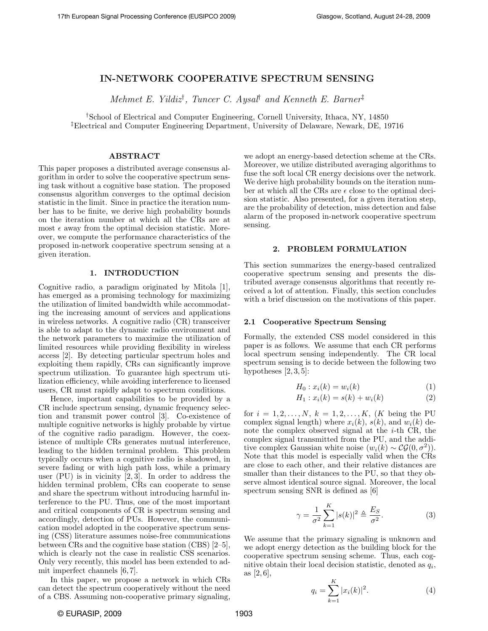# IN-NETWORK COOPERATIVE SPECTRUM SENSING

Mehmet E. Yildiz† , Tuncer C. Aysal† and Kenneth E. Barner‡

†School of Electrical and Computer Engineering, Cornell University, Ithaca, NY, 14850 ‡Electrical and Computer Engineering Department, University of Delaware, Newark, DE, 19716

# ABSTRACT

This paper proposes a distributed average consensus algorithm in order to solve the cooperative spectrum sensing task without a cognitive base station. The proposed consensus algorithm converges to the optimal decision statistic in the limit. Since in practice the iteration number has to be finite, we derive high probability bounds on the iteration number at which all the CRs are at most  $\epsilon$  away from the optimal decision statistic. Moreover, we compute the performance characteristics of the proposed in-network cooperative spectrum sensing at a given iteration.

### 1. INTRODUCTION

Cognitive radio, a paradigm originated by Mitola [1], has emerged as a promising technology for maximizing the utilization of limited bandwidth while accommodating the increasing amount of services and applications in wireless networks. A cognitive radio (CR) transceiver is able to adapt to the dynamic radio environment and the network parameters to maximize the utilization of limited resources while providing flexibility in wireless access [2]. By detecting particular spectrum holes and exploiting them rapidly, CRs can significantly improve spectrum utilization. To guarantee high spectrum utilization efficiency, while avoiding interference to licensed users, CR must rapidly adapt to spectrum conditions.

Hence, important capabilities to be provided by a CR include spectrum sensing, dynamic frequency selection and transmit power control [3]. Co-existence of multiple cognitive networks is highly probable by virtue of the cognitive radio paradigm. However, the coexistence of multiple CRs generates mutual interference, leading to the hidden terminal problem. This problem typically occurs when a cognitive radio is shadowed, in severe fading or with high path loss, while a primary user  $(PU)$  is in vicinity  $[2, 3]$ . In order to address the hidden terminal problem, CRs can cooperate to sense and share the spectrum without introducing harmful interference to the PU. Thus, one of the most important and critical components of CR is spectrum sensing and accordingly, detection of PUs. However, the communication model adopted in the cooperative spectrum sensing (CSS) literature assumes noise-free communications between CRs and the cognitive base station (CBS) [2–5], which is clearly not the case in realistic CSS scenarios. Only very recently, this model has been extended to admit imperfect channels [6, 7].

In this paper, we propose a network in which CRs can detect the spectrum cooperatively without the need of a CBS. Assuming non-cooperative primary signaling, we adopt an energy-based detection scheme at the CRs. Moreover, we utilize distributed averaging algorithms to fuse the soft local CR energy decisions over the network. We derive high probability bounds on the iteration number at which all the CRs are  $\epsilon$  close to the optimal decision statistic. Also presented, for a given iteration step, are the probability of detection, miss detection and false alarm of the proposed in-network cooperative spectrum sensing.

### 2. PROBLEM FORMULATION

This section summarizes the energy-based centralized cooperative spectrum sensing and presents the distributed average consensus algorithms that recently received a lot of attention. Finally, this section concludes with a brief discussion on the motivations of this paper.

#### 2.1 Cooperative Spectrum Sensing

Formally, the extended CSS model considered in this paper is as follows. We assume that each CR performs local spectrum sensing independently. The CR local spectrum sensing is to decide between the following two hypotheses  $[2, 3, 5]$ :

$$
H_0: x_i(k) = w_i(k) \tag{1}
$$

$$
H_1: x_i(k) = s(k) + w_i(k)
$$
 (2)

for  $i = 1, 2, ..., N$ ,  $k = 1, 2, ..., K$ ,  $(K$  being the PU complex signal length) where  $x_i(k)$ ,  $s(k)$ , and  $w_i(k)$  denote the complex observed signal at the  $i$ -th CR, the complex signal transmitted from the PU, and the additive complex Gaussian white noise  $(w_i(k) \sim \mathcal{CG}(0, \sigma^2)).$ Note that this model is especially valid when the CRs are close to each other, and their relative distances are smaller than their distances to the PU, so that they observe almost identical source signal. Moreover, the local spectrum sensing SNR is defined as [6]

$$
\gamma = \frac{1}{\sigma^2} \sum_{k=1}^{K} |s(k)|^2 \triangleq \frac{E_S}{\sigma^2}.
$$
 (3)

We assume that the primary signaling is unknown and we adopt energy detection as the building block for the cooperative spectrum sensing scheme. Thus, each cognitive obtain their local decision statistic, denoted as  $q_i$ , as [2, 6],

$$
q_i = \sum_{k=1}^{K} |x_i(k)|^2.
$$
 (4)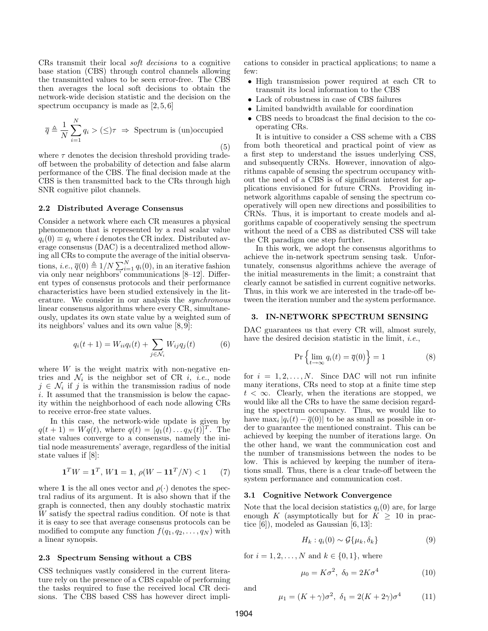CRs transmit their local soft decisions to a cognitive base station (CBS) through control channels allowing the transmitted values to be seen error-free. The CBS then averages the local soft decisions to obtain the network-wide decision statistic and the decision on the spectrum occupancy is made as  $[2, 5, 6]$ 

$$
\overline{q} \triangleq \frac{1}{N} \sum_{i=1}^{N} q_i > (\leq) \tau \Rightarrow \text{Spectrum is (un)occupied}
$$
\n(5)

where  $\tau$  denotes the decision threshold providing tradeoff between the probability of detection and false alarm performance of the CBS. The final decision made at the CBS is then transmitted back to the CRs through high SNR cognitive pilot channels.

### 2.2 Distributed Average Consensus

Consider a network where each CR measures a physical phenomenon that is represented by a real scalar value  $q_i(0) \equiv q_i$  where i denotes the CR index. Distributed average consensus (DAC) is a decentralized method allowing all CRs to compute the average of the initial observations, *i.e.*,  $\overline{q}(0) \triangleq 1/N \sum_{i=1}^{N} q_i(0)$ , in an iterative fashion via only near neighbors' communications [8–12]. Different types of consensus protocols and their performance characteristics have been studied extensively in the literature. We consider in our analysis the *synchronous* linear consensus algorithms where every CR, simultaneously, updates its own state value by a weighted sum of its neighbors' values and its own value [8, 9]:

$$
q_i(t+1) = W_{ii}q_i(t) + \sum_{j \in \mathcal{N}_i} W_{ij}q_j(t)
$$
 (6)

where  $W$  is the weight matrix with non-negative entries and  $\mathcal{N}_i$  is the neighbor set of CR *i*, *i.e.*, node  $j \in \mathcal{N}_i$  if j is within the transmission radius of node i. It assumed that the transmission is below the capacity within the neighborhood of each node allowing CRs to receive error-free state values.

In this case, the network-wide update is given by  $q(t + 1) = Wq(t)$ , where  $q(t) = [q_1(t) \dots q_N(t)]^T$ . The state values converge to a consensus, namely the initial node measurements' average, regardless of the initial state values if [8]:

$$
\mathbf{1}^T W = \mathbf{1}^T, W \mathbf{1} = \mathbf{1}, \, \rho(W - \mathbf{1} \mathbf{1}^T / N) < 1 \qquad (7)
$$

where 1 is the all ones vector and  $\rho(\cdot)$  denotes the spectral radius of its argument. It is also shown that if the graph is connected, then any doubly stochastic matrix W satisfy the spectral radius condition. Of note is that it is easy to see that average consensus protocols can be modified to compute any function  $f(q_1, q_2, \ldots, q_N)$  with a linear synopsis.

### 2.3 Spectrum Sensing without a CBS

CSS techniques vastly considered in the current literature rely on the presence of a CBS capable of performing the tasks required to fuse the received local CR decisions. The CBS based CSS has however direct implications to consider in practical applications; to name a few:

- High transmission power required at each CR to transmit its local information to the CBS
- Lack of robustness in case of CBS failures
- Limited bandwidth available for coordination
- CBS needs to broadcast the final decision to the cooperating CRs.

It is intuitive to consider a CSS scheme with a CBS from both theoretical and practical point of view as a first step to understand the issues underlying CSS, and subsequently CRNs. However, innovation of algorithms capable of sensing the spectrum occupancy without the need of a CBS is of significant interest for applications envisioned for future CRNs. Providing innetwork algorithms capable of sensing the spectrum cooperatively will open new directions and possibilities to CRNs. Thus, it is important to create models and algorithms capable of cooperatively sensing the spectrum without the need of a CBS as distributed CSS will take the CR paradigm one step further.

In this work, we adopt the consensus algorithms to achieve the in-network spectrum sensing task. Unfortunately, consensus algorithms achieve the average of the initial measurements in the limit; a constraint that clearly cannot be satisfied in current cognitive networks. Thus, in this work we are interested in the trade-off between the iteration number and the system performance.

# 3. IN-NETWORK SPECTRUM SENSING

DAC guarantees us that every CR will, almost surely, have the desired decision statistic in the limit, *i.e.*,

$$
\Pr\left\{\lim_{t \to \infty} q_i(t) = \overline{q}(0)\right\} = 1\tag{8}
$$

for  $i = 1, 2, ..., N$ . Since DAC will not run infinite many iterations, CRs need to stop at a finite time step  $t < \infty$ . Clearly, when the iterations are stopped, we would like all the CRs to have the same decision regarding the spectrum occupancy. Thus, we would like to have  $\max_i |q_i(t) - \overline{q}(0)|$  to be as small as possible in order to guarantee the mentioned constraint. This can be achieved by keeping the number of iterations large. On the other hand, we want the communication cost and the number of transmissions between the nodes to be low. This is achieved by keeping the number of iterations small. Thus, there is a clear trade-off between the system performance and communication cost.

#### 3.1 Cognitive Network Convergence

Note that the local decision statistics  $q_i(0)$  are, for large enough K (asymptotically but for  $K \geq 10$  in practice [6]), modeled as Gaussian [6, 13]:

$$
H_k: q_i(0) \sim \mathcal{G}\{\mu_k, \delta_k\} \tag{9}
$$

for  $i = 1, 2, ..., N$  and  $k \in \{0, 1\}$ , where

$$
\mu_0 = K\sigma^2, \ \delta_0 = 2K\sigma^4 \tag{10}
$$

and

$$
\mu_1 = (K + \gamma)\sigma^2, \ \delta_1 = 2(K + 2\gamma)\sigma^4 \tag{11}
$$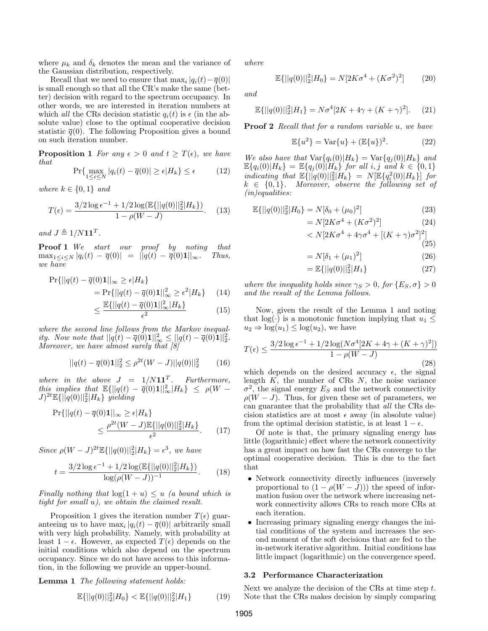where  $\mu_k$  and  $\delta_k$  denotes the mean and the variance of the Gaussian distribution, respectively.

Recall that we need to ensure that  $\max_i |q_i(t) - \overline{q}(0)|$ is small enough so that all the CR's make the same (better) decision with regard to the spectrum occupancy. In other words, we are interested in iteration numbers at which all the CRs decision statistic  $q_i(t)$  is  $\epsilon$  (in the absolute value) close to the optimal cooperative decision statistic  $\bar{q}(0)$ . The following Proposition gives a bound on such iteration number.

**Proposition 1** For any  $\epsilon > 0$  and  $t \geq T(\epsilon)$ , we have that

$$
\Pr\{\max_{1 \le i \le N} |q_i(t) - \overline{q}(0)| \ge \epsilon | H_k\} \le \epsilon \tag{12}
$$

where  $k \in \{0, 1\}$  and

$$
T(\epsilon) = \frac{3/2 \log \epsilon^{-1} + 1/2 \log \left( \mathbb{E}\{||q(0)||_2^2 | H_k \} \right)}{1 - \rho(W - J)}.
$$
 (13)

and  $J \triangleq 1/N$ **11**<sup>T</sup>.

**Proof 1** We start our proof by noting that  $\max_{1 \leq i \leq N} |q_i(t) - \overline{q}(0)| = ||q(t) - \overline{q}(0)1||_{\infty}$ . Thus, we have

$$
\Pr\{||q(t) - \overline{q}(0)\mathbf{1}||_{\infty} \ge \epsilon | H_k\}
$$
  
= 
$$
\Pr\{||q(t) - \overline{q}(0)\mathbf{1}||_{\infty}^2 \ge \epsilon^2 | H_k\}
$$
 (14)

$$
\leq \frac{\mathbb{E}\{||q(t) - \overline{q}(0)\mathbf{1}||_{\infty}^2|H_k\}}{\epsilon^2} \tag{15}
$$

where the second line follows from the Markov inequality. Now note that  $||q(t) - \bar{q}(0)1||_{\infty}^2 \leq ||q(t) - \bar{q}(0)1||_2^2$ . Moreover, we have almost surely that  $\vert 8 \vert$ 

$$
||q(t) - \overline{q}(0)\mathbf{1}||_2^2 \le \rho^{2t}(W - J)||q(0)||_2^2 \qquad (16)
$$

where in the above  $J = 1/N11^T$ . . Furthermore, this implies that  $\mathbb{E}\{||q(t) - \overline{q}(0)\mathbf{1}||_{\infty}^2|H_k\} \leq \rho(W (J)^{2t}\mathbb{E}\{\|\mathbf{q}(0)\|_2^2|H_k\}$  yielding

$$
\Pr\{||q(t) - \overline{q}(0)\mathbf{1}||_{\infty} \ge \epsilon | H_k\}
$$
  
\$\le \frac{\rho^{2t}(W - J)\mathbb{E}\{||q(0)||\_2^2|H\_k\}}{\epsilon^2}\$. (17)

Since  $\rho(W - J)^{2t} \mathbb{E}\{||q(0)||_2^2 | H_k\} = \epsilon^3$ , we have

$$
t = \frac{3/2\log\epsilon^{-1} + 1/2\log(\mathbb{E}\{||q(0)||_2^2|H_k\})}{\log(\rho(W-J))^{-1}}.
$$
 (18)

Finally nothing that  $log(1 + u) \leq u$  (a bound which is tight for small u), we obtain the claimed result.

Proposition 1 gives the iteration number  $T(\epsilon)$  guaranteeing us to have  $\max_i |q_i(t) - \overline{q}(0)|$  arbitrarily small with very high probability. Namely, with probability at least  $1 - \epsilon$ . However, as expected  $T(\epsilon)$  depends on the initial conditions which also depend on the spectrum occupancy. Since we do not have access to this information, in the following we provide an upper-bound.

Lemma 1 The following statement holds:

$$
\mathbb{E}\{||q(0)||_2^2|H_0\} < \mathbb{E}\{||q(0)||_2^2|H_1\} \tag{19}
$$

where

$$
\mathbb{E}\{||q(0)||_2^2|H_0\} = N[2K\sigma^4 + (K\sigma^2)^2] \tag{20}
$$

and

$$
\mathbb{E}\{||q(0)||_2^2|H_1\} = N\sigma^4[2K + 4\gamma + (K + \gamma)^2].\tag{21}
$$

**Proof 2** Recall that for a random variable u, we have

$$
\mathbb{E}\{u^2\} = \text{Var}\{u\} + (\mathbb{E}\{u\})^2.
$$
 (22)

We also have that  $\text{Var}\{q_i(0)|H_k\} = \text{Var}\{q_i(0)|H_k\}$  and  $\mathbb{E}{q_i(0)|H_k} = \mathbb{E}{q_j(0)|H_k}$  for all i, j and  $k \in \{0,1\}$ indicating that  $\mathbb{E}\{||q(0)||_2^2|H_k\} = N[\mathbb{E}\{q_i^2(0)|H_k\}]$  for  $k \in \{0,1\}$ . Moreover, observe the following set of (in)equalities:

$$
\mathbb{E}\{||q(0)||_2^2|H_0\} = N[\delta_0 + (\mu_0)^2]
$$
\n(23)

$$
=N[2K\sigma^4 + (K\sigma^2)^2]
$$
 (24)

$$
\langle N[2K\sigma^4 + 4\gamma\sigma^4 + [(K+\gamma)\sigma^2]^2] \tag{25}
$$

$$
=N[\delta_1+(\mu_1)^2]
$$
\n(26)

$$
= \mathbb{E}\{||q(0)||_2^2|H_1\}
$$
 (27)

where the inequality holds since  $\gamma_S > 0$ , for  $\{E_S, \sigma\} > 0$ and the result of the Lemma follows.

Now, given the result of the Lemma 1 and noting that  $log(·)$  is a monotonic function implying that  $u_1 \leq$  $u_2 \Rightarrow \log(u_1) \leq \log(u_2)$ , we have

$$
T(\epsilon) \le \frac{3/2 \log \epsilon^{-1} + 1/2 \log(N\sigma^4 [2K + 4\gamma + (K + \gamma)^2])}{1 - \rho(W - J)}
$$
(28)

which depends on the desired accuracy  $\epsilon$ , the signal length  $K$ , the number of CRs  $N$ , the noise variance  $\sigma^2$ , the signal energy  $E_S$  and the network connectivity  $\rho(W-J)$ . Thus, for given these set of parameters, we can guarantee that the probability that all the CRs decision statistics are at most  $\epsilon$  away (in absolute value) from the optimal decision statistic, is at least  $1 - \epsilon$ .

Of note is that, the primary signaling energy has little (logarithmic) effect where the network connectivity has a great impact on how fast the CRs converge to the optimal cooperative decision. This is due to the fact that

- Network connectivity directly influences (inversely proportional to  $(1 - \rho(W - J))$  the speed of information fusion over the network where increasing network connectivity allows CRs to reach more CRs at each iteration.
- Increasing primary signaling energy changes the initial conditions of the system and increases the second moment of the soft decisions that are fed to the in-network iterative algorithm. Initial conditions has little impact (logarithmic) on the convergence speed.

## 3.2 Performance Characterization

Next we analyze the decision of the CRs at time step t. Note that the CRs makes decision by simply comparing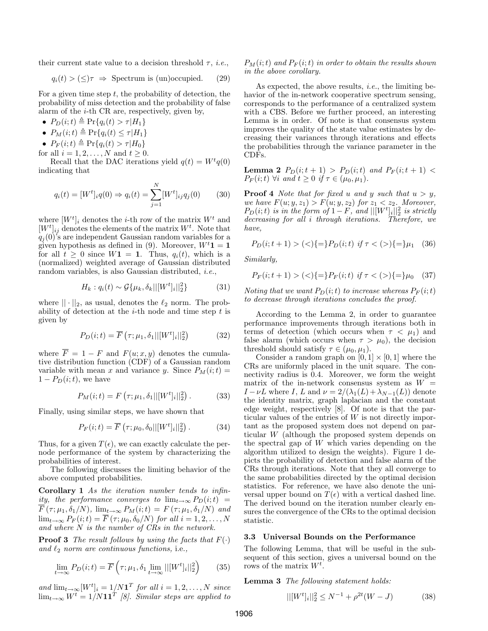their current state value to a decision threshold  $\tau$ , *i.e.*,

$$
q_i(t) > (\leq)\tau \Rightarrow
$$
 Spectrum is (un)occupied. (29)

For a given time step  $t$ , the probability of detection, the probability of miss detection and the probability of false alarm of the  $i$ -th CR are, respectively, given by,

- $P_D(i; t) \triangleq \Pr\{q_i(t) > \tau | H_1\}$
- $P_M(i; t) \triangleq \Pr\{q_i(t) \leq \tau | H_1\}$
- $P_F(i; t) \triangleq \Pr\{q_i(t) > \tau | H_0\}$
- for all  $i = 1, 2, \ldots, N$  and  $t \geq 0$ .

Recall that the DAC iterations yield  $q(t) = W^t q(0)$ indicating that

$$
q_i(t) = [W^t]_i q(0) \Rightarrow q_i(t) = \sum_{j=1}^N [W^t]_{ij} q_j(0) \qquad (30)
$$

where  $[W^t]_i$  denotes the *i*-th row of the matrix  $W^t$  and  $[W<sup>t</sup>]_{ij}$  denotes the elements of the matrix  $W<sup>t</sup>$ . Note that  $q_i(0)$ 's are independent Gaussian random variables for a given hypothesis as defined in (9). Moreover,  $W<sup>t</sup>1 = 1$ for all  $t \geq 0$  since  $W_1 = 1$ . Thus,  $q_i(t)$ , which is a (normalized) weighted average of Gaussian distributed random variables, is also Gaussian distributed, i.e.,

$$
H_k: q_i(t) \sim \mathcal{G}\{\mu_k, \delta_k ||[W^t]_i||_2^2\}
$$
 (31)

where  $|| \cdot ||_2$ , as usual, denotes the  $\ell_2$  norm. The probability of detection at the  $i$ -th node and time step  $t$  is given by

$$
P_D(i; t) = \overline{F}(\tau; \mu_1, \delta_1 ||[W^t]_i||_2^2)
$$
 (32)

where  $\overline{F} = 1 - F$  and  $F(u; x, y)$  denotes the cumulative distribution function (CDF) of a Gaussian random variable with mean x and variance y. Since  $P_M(i; t) =$  $1 - P_D(i; t)$ , we have

$$
P_M(i;t) = F(\tau; \mu_1, \delta_1 ||[W^t]_i||_2^2).
$$
 (33)

Finally, using similar steps, we have shown that

$$
P_F(i; t) = \overline{F}(\tau; \mu_0, \delta_0 ||[W^t]_i||_2^2).
$$
 (34)

Thus, for a given  $T(\epsilon)$ , we can exactly calculate the pernode performance of the system by characterizing the probabilities of interest.

The following discusses the limiting behavior of the above computed probabilities.

Corollary 1 As the iteration number tends to infinity, the performance converges to  $\lim_{t\to\infty} P_D(i;t)$  =  $\overline{F}(\tau;\mu_1,\delta_1/N), \lim_{t\to\infty} P_M(i;t) = F(\tau;\mu_1,\delta_1/N)$  and  $\lim_{t\to\infty} P_F(i;t) = \overline{F}(\tau;\mu_0,\delta_0/N)$  for all  $i=1,2,\ldots,N$ and where N is the number of CRs in the network.

**Proof 3** The result follows by using the facts that  $F(\cdot)$ and  $\ell_2$  norm are continuous functions, i.e.,

$$
\lim_{t \to \infty} P_D(i; t) = \overline{F}\left(\tau; \mu_1, \delta_1 \lim_{t \to \infty} ||[W^t]_i||_2^2\right) \tag{35}
$$

and  $\lim_{t\to\infty} [W^t]_i = 1/N\mathbf{1}^T$  for all  $i = 1, 2, ..., N$  since  $\lim_{t\to\infty}W^t=1/N$ **11**<sup>T</sup> [8]. Similar steps are applied to  $P_M(i;t)$  and  $P_F(i;t)$  in order to obtain the results shown in the above corollary.

As expected, the above results, *i.e.*, the limiting behavior of the in-network cooperative spectrum sensing, corresponds to the performance of a centralized system with a CBS. Before we further proceed, an interesting Lemma is in order. Of note is that consensus system improves the quality of the state value estimates by decreasing their variances through iterations and effects the probabilities through the variance parameter in the CDFs.

**Lemma 2**  $P_D(i; t + 1) > P_D(i; t)$  and  $P_F(i; t + 1)$  $P_F(i;t)$   $\forall i$  and  $t \geq 0$  if  $\tau \in (\mu_0, \mu_1)$ .

**Proof 4** Note that for fixed u and y such that  $u > y$ , we have  $F(u; y, z_1) > F(u; y, z_2)$  for  $z_1 < z_2$ . Moreover,  $P_D(i;t)$  is in the form of  $1-F$ , and  $||[W^t]_i||_2^2$  is strictly decreasing for all i through iterations. Therefore, we have,

$$
P_D(i; t+1) > \left( \langle \rangle \left\{ = \right\} P_D(i; t) \text{ if } \tau < \left( \rangle \left\{ = \right\} \mu_1 \tag{36}
$$

Similarly,

$$
P_F(i; t+1) > \text{(<)} \{=\} P_F(i; t) \text{ if } \tau < \text{(>)} \{=\} \mu_0 \quad (37)
$$

Noting that we want  $P_D(i;t)$  to increase whereas  $P_F(i;t)$ to decrease through iterations concludes the proof.

According to the Lemma 2, in order to guarantee performance improvements through iterations both in terms of detection (which occurs when  $\tau < \mu_1$ ) and false alarm (which occurs when  $\tau > \mu_0$ ), the decision threshold should satisfy  $\tau \in (\mu_0, \mu_1)$ .

Consider a random graph on  $[0, 1] \times [0, 1]$  where the CRs are uniformly placed in the unit square. The connectivity radius is 0.4. Moreover, we form the weight matrix of the in-network consensus system as  $W =$  $I - \nu L$  where I, L and  $\nu = 2/(\lambda_1(L) + \lambda_{N-1}(L))$  denote the identity matrix, graph laplacian and the constant edge weight, respectively [8]. Of note is that the particular values of the entries of W is not directly important as the proposed system does not depend on particular W (although the proposed system depends on the spectral gap of W which varies depending on the algorithm utilized to design the weights). Figure 1 depicts the probability of detection and false alarm of the CRs through iterations. Note that they all converge to the same probabilities directed by the optimal decision statistics. For reference, we have also denote the universal upper bound on  $T(\epsilon)$  with a vertical dashed line. The derived bound on the iteration number clearly ensures the convergence of the CRs to the optimal decision statistic.

# 3.3 Universal Bounds on the Performance

The following Lemma, that will be useful in the subsequent of this section, gives a universal bound on the rows of the matrix  $W^t$ .

Lemma 3 The following statement holds:

$$
||[W^t]_i||_2^2 \le N^{-1} + \rho^{2t}(W - J)
$$
 (38)